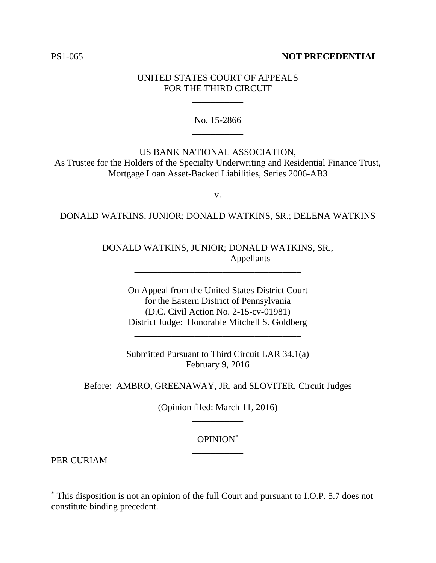### PS1-065 **NOT PRECEDENTIAL**

### UNITED STATES COURT OF APPEALS FOR THE THIRD CIRCUIT

\_\_\_\_\_\_\_\_\_\_\_

No. 15-2866 \_\_\_\_\_\_\_\_\_\_\_

US BANK NATIONAL ASSOCIATION, As Trustee for the Holders of the Specialty Underwriting and Residential Finance Trust, Mortgage Loan Asset-Backed Liabilities, Series 2006-AB3

v.

#### DONALD WATKINS, JUNIOR; DONALD WATKINS, SR.; DELENA WATKINS

## DONALD WATKINS, JUNIOR; DONALD WATKINS, SR., Appellants

\_\_\_\_\_\_\_\_\_\_\_\_\_\_\_\_\_\_\_\_\_\_\_\_\_\_\_\_\_\_\_\_\_\_\_\_

On Appeal from the United States District Court for the Eastern District of Pennsylvania (D.C. Civil Action No. 2-15-cv-01981) District Judge: Honorable Mitchell S. Goldberg

Submitted Pursuant to Third Circuit LAR 34.1(a) February 9, 2016

\_\_\_\_\_\_\_\_\_\_\_\_\_\_\_\_\_\_\_\_\_\_\_\_\_\_\_\_\_\_\_\_\_\_\_\_

#### Before: AMBRO, GREENAWAY, JR. and SLOVITER, Circuit Judges

(Opinion filed: March 11, 2016) \_\_\_\_\_\_\_\_\_\_\_

# OPINION\* \_\_\_\_\_\_\_\_\_\_\_

PER CURIAM

 $\overline{a}$ 

<sup>\*</sup> This disposition is not an opinion of the full Court and pursuant to I.O.P. 5.7 does not constitute binding precedent.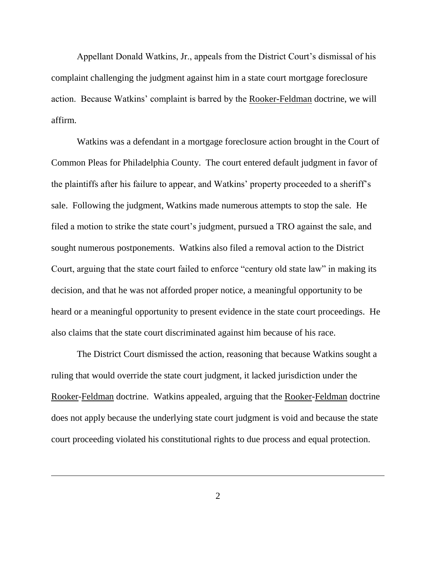Appellant Donald Watkins, Jr., appeals from the District Court's dismissal of his complaint challenging the judgment against him in a state court mortgage foreclosure action. Because Watkins' complaint is barred by the Rooker-Feldman doctrine, we will affirm.

Watkins was a defendant in a mortgage foreclosure action brought in the Court of Common Pleas for Philadelphia County. The court entered default judgment in favor of the plaintiffs after his failure to appear, and Watkins' property proceeded to a sheriff's sale. Following the judgment, Watkins made numerous attempts to stop the sale. He filed a motion to strike the state court's judgment, pursued a TRO against the sale, and sought numerous postponements. Watkins also filed a removal action to the District Court, arguing that the state court failed to enforce "century old state law" in making its decision, and that he was not afforded proper notice, a meaningful opportunity to be heard or a meaningful opportunity to present evidence in the state court proceedings. He also claims that the state court discriminated against him because of his race.

The District Court dismissed the action, reasoning that because Watkins sought a ruling that would override the state court judgment, it lacked jurisdiction under the Rooker-Feldman doctrine. Watkins appealed, arguing that the Rooker-Feldman doctrine does not apply because the underlying state court judgment is void and because the state court proceeding violated his constitutional rights to due process and equal protection.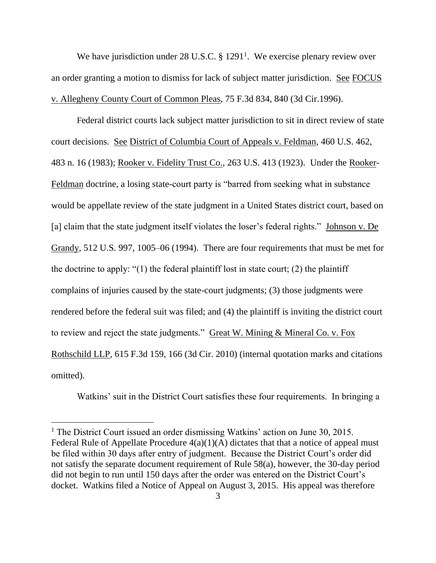We have jurisdiction under 28 U.S.C.  $\S 1291<sup>1</sup>$ . We exercise plenary review over an order granting a motion to dismiss for lack of subject matter jurisdiction. See FOCUS v. Allegheny County Court of Common Pleas, 75 F.3d 834, 840 (3d Cir.1996).

Federal district courts lack subject matter jurisdiction to sit in direct review of state court decisions. See District of Columbia Court of Appeals v. Feldman, 460 U.S. 462, 483 n. 16 (1983); Rooker v. Fidelity Trust Co., 263 U.S. 413 (1923). Under the Rooker-Feldman doctrine, a losing state-court party is "barred from seeking what in substance would be appellate review of the state judgment in a United States district court, based on [a] claim that the state judgment itself violates the loser's federal rights." Johnson v. De Grandy, 512 U.S. 997, 1005–06 (1994). There are four requirements that must be met for the doctrine to apply: " $(1)$  the federal plaintiff lost in state court;  $(2)$  the plaintiff complains of injuries caused by the state-court judgments; (3) those judgments were rendered before the federal suit was filed; and (4) the plaintiff is inviting the district court to review and reject the state judgments." Great W. Mining & Mineral Co. v. Fox Rothschild LLP, 615 F.3d 159, 166 (3d Cir. 2010) (internal quotation marks and citations omitted).

Watkins' suit in the District Court satisfies these four requirements. In bringing a

 $\overline{a}$ 

<sup>&</sup>lt;sup>1</sup> The District Court issued an order dismissing Watkins' action on June 30, 2015. Federal Rule of Appellate Procedure  $4(a)(1)(A)$  dictates that that a notice of appeal must be filed within 30 days after entry of judgment. Because the District Court's order did not satisfy the separate document requirement of Rule 58(a), however, the 30-day period did not begin to run until 150 days after the order was entered on the District Court's docket. Watkins filed a Notice of Appeal on August 3, 2015. His appeal was therefore